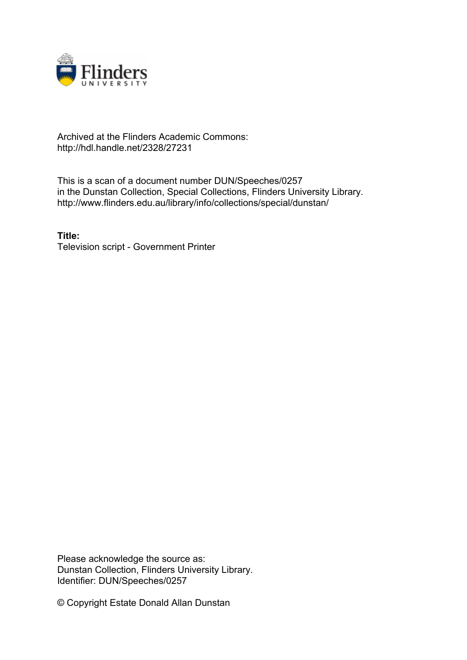

#### Archived at the Flinders Academic Commons: http://hdl.handle.net/2328/27231

This is a scan of a document number DUN/Speeches/0257 in the Dunstan Collection, Special Collections, Flinders University Library. http://www.flinders.edu.au/library/info/collections/special/dunstan/

**Title:** Television script - Government Printer

Please acknowledge the source as: Dunstan Collection, Flinders University Library. Identifier: DUN/Speeches/0257

© Copyright Estate Donald Allan Dunstan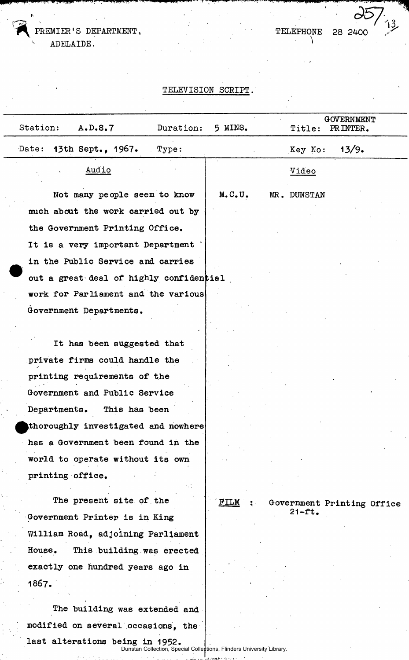PREMIER'S DEPARTMENT, ADELAIDE.

TELEPHONE 28 2400

# TELEVISION SCRIPT.

| Station:<br>A.D.S.7<br>Duration:                                                                         | 5 MINS. | Title:      | GOVERNMENT<br>PRINTER.     |
|----------------------------------------------------------------------------------------------------------|---------|-------------|----------------------------|
| 13th Sept., 1967.<br>Date:<br>Type:                                                                      |         | Key No:     | 13/9.                      |
| Audio                                                                                                    |         | Video       |                            |
| Not many people seem to know                                                                             | M.C.U.  | MR. DUNSTAN |                            |
| much about the work carried out by                                                                       |         |             |                            |
| the Government Printing Office.                                                                          |         |             |                            |
| It is a very important Department                                                                        |         |             |                            |
| in the Public Service and carries                                                                        |         |             |                            |
| out a great deal of highly confidential                                                                  |         |             |                            |
| work for Parliament and the various                                                                      |         |             |                            |
| Government Departments.                                                                                  |         |             |                            |
|                                                                                                          |         |             |                            |
| It has been suggested that                                                                               |         |             |                            |
| private firms could handle the                                                                           |         |             |                            |
| printing requirements of the                                                                             |         |             |                            |
| Government and Public Service                                                                            |         |             |                            |
| Departments. This has been                                                                               |         |             |                            |
| thoroughly investigated and nowhere                                                                      |         |             |                            |
| has a Government been found in the                                                                       |         |             |                            |
| world to operate without its own                                                                         |         |             |                            |
| printing office.                                                                                         |         |             |                            |
|                                                                                                          |         |             |                            |
| The present site of the                                                                                  | FILM    |             | Government Printing Office |
| Government Printer is in King                                                                            |         | $21 - ft$ . |                            |
| William Road, adjoining Parliament                                                                       |         |             |                            |
| This building was erected<br>House.                                                                      |         |             |                            |
| exactly one hundred years ago in                                                                         |         |             |                            |
| 1867.                                                                                                    |         |             |                            |
| The building was extended and                                                                            |         |             |                            |
| modified on several occasions, the                                                                       |         |             |                            |
| last alterations being in 1952.<br>Dunstan Collection, Special Collections, Flinders University Library. |         |             |                            |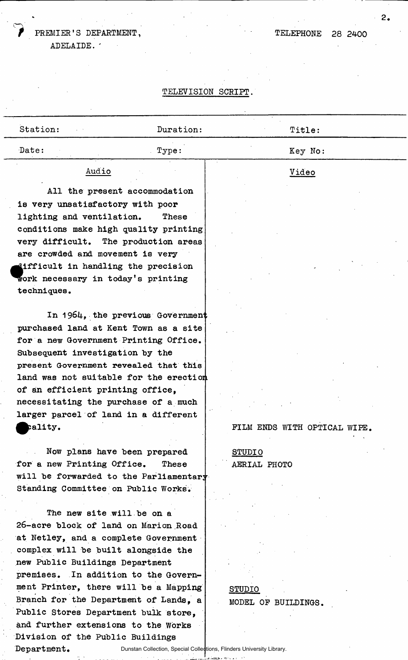### PREMIER'S DEPARTMENT,

ADELAIDE. '

#### TELEPHONE 28 2400

#### TELEVISION SCRIPT.

| Station:                                                                                                                                                                                                                                                                                                                                                                               | Duration: | Title:                        |
|----------------------------------------------------------------------------------------------------------------------------------------------------------------------------------------------------------------------------------------------------------------------------------------------------------------------------------------------------------------------------------------|-----------|-------------------------------|
| Date:                                                                                                                                                                                                                                                                                                                                                                                  | Type:     | Key No:                       |
| Audio                                                                                                                                                                                                                                                                                                                                                                                  |           | Video                         |
| All the present accommodation<br>is very unsatisfactory with poor<br>lighting and ventilation.<br>conditions make high quality printing<br>very difficult. The production areas<br>are crowded and movement is very<br>difficult in handling the precision<br>work necessary in today's printing                                                                                       | These     |                               |
| techniques.<br>In 1964, the previous Government<br>purchased land at Kent Town as a site<br>for a new Government Printing Office.<br>Subsequent investigation by the<br>present Government revealed that this<br>land was not suitable for the erection<br>of an efficient printing office,<br>necessitating the purchase of a much<br>larger parcel of land in a different<br>pality. |           | FILM ENDS WITH OPTICAL WIPE.  |
| Now plans have been prepared<br>for a new Printing Office.<br>will be forwarded to the Parliamentary<br>Standing Committee on Public Works.<br>The new site will be on a<br>26-acre block of land on Marion Road<br>at Netley, and a complete Government<br>complex will be built alongside the                                                                                        | These     | <b>STUDIO</b><br>AERIAL PHOTO |

STUDIO MODEL OP BUILDINGS,

Dunstan Collection, Special Collections, Flinders University Library. Department. .<br>Verst

new Public Buildings Department

Division of the Public Buildings

premises. In addition to the Government Printer, there will be a Mapping Branch for the Department of Lands, a Public Stores Department bulk store, and further extensions to the Works

2.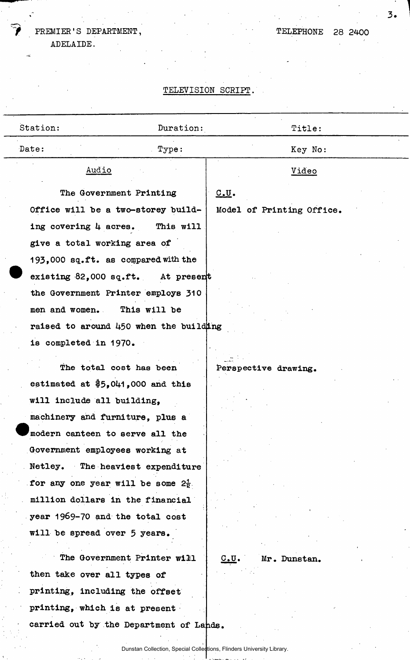## FREMIER'S DEPARTMENT, ADELAIDE.

TELEPHONE 28 2400

 $3.$ 

# TELEVISION SCRIPT.

| Station: |                                                | Duration:                                                             | Title:                    |  |  |  |
|----------|------------------------------------------------|-----------------------------------------------------------------------|---------------------------|--|--|--|
|          | Date:                                          | Type:                                                                 | Key No:                   |  |  |  |
|          | Audio                                          |                                                                       | Video                     |  |  |  |
|          | The Government Printing                        |                                                                       | 0.0.                      |  |  |  |
|          | Office will be a two-storey build-             |                                                                       | Model of Printing Office. |  |  |  |
|          | ing covering 4 acres.                          | This will                                                             |                           |  |  |  |
|          | give a total working area of                   |                                                                       |                           |  |  |  |
|          | 193,000 sq.ft. as compared with the            |                                                                       |                           |  |  |  |
|          | existing 82,000 sq.ft. At present              |                                                                       |                           |  |  |  |
|          | the Government Printer employs 310             |                                                                       |                           |  |  |  |
|          | men and women. This will be                    |                                                                       |                           |  |  |  |
|          | raised to around 450 when the building         |                                                                       |                           |  |  |  |
|          | is completed in 1970.                          |                                                                       |                           |  |  |  |
|          | The total cost has been                        |                                                                       | Perspective drawing.      |  |  |  |
|          | estimated at $$5,041,000$ and this             |                                                                       |                           |  |  |  |
|          | will include all building.                     |                                                                       |                           |  |  |  |
|          | machinery and furniture, plus a                |                                                                       |                           |  |  |  |
|          | modern canteen to serve all the                |                                                                       |                           |  |  |  |
|          | Government employees working at                |                                                                       |                           |  |  |  |
|          | Netley. The heaviest expenditure               |                                                                       |                           |  |  |  |
|          | for any one year will be some $2\frac{1}{2}$ . |                                                                       |                           |  |  |  |
|          | million dollars in the financial               |                                                                       |                           |  |  |  |
|          | year 1969-70 and the total cost                |                                                                       |                           |  |  |  |
|          | will be spread over 5 years.                   |                                                                       |                           |  |  |  |
|          |                                                | The Government Printer will                                           | c.v.<br>Mr. Dunstan.      |  |  |  |
|          | then take over all types of                    |                                                                       |                           |  |  |  |
|          | printing, including the offset                 |                                                                       |                           |  |  |  |
|          | printing, which is at present                  |                                                                       |                           |  |  |  |
|          | carried out by the Department of Lands.        |                                                                       |                           |  |  |  |
|          |                                                | Dunstan Collection, Special Collections, Flinders University Library. |                           |  |  |  |